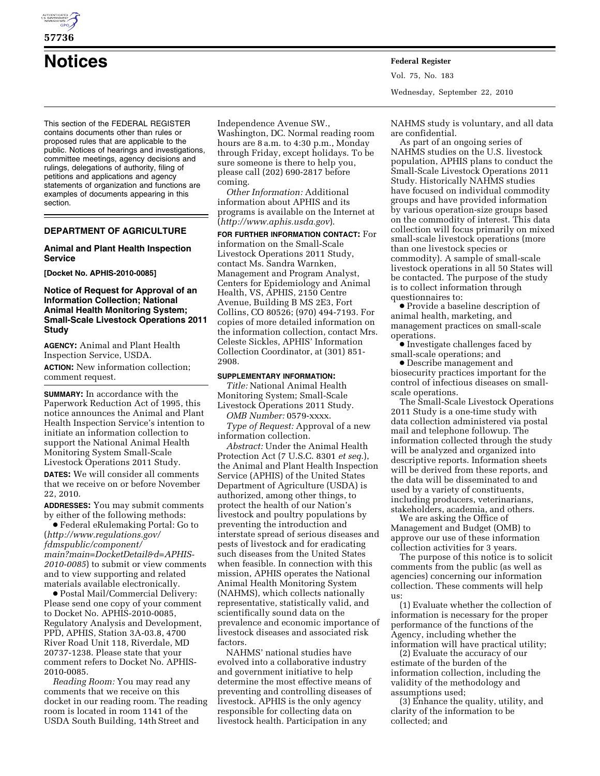

# **57736**

This section of the FEDERAL REGISTER contains documents other than rules or proposed rules that are applicable to the public. Notices of hearings and investigations, committee meetings, agency decisions and rulings, delegations of authority, filing of petitions and applications and agency statements of organization and functions are examples of documents appearing in this section.

# **DEPARTMENT OF AGRICULTURE**

## **Animal and Plant Health Inspection Service**

**[Docket No. APHIS-2010-0085]** 

# **Notice of Request for Approval of an Information Collection; National Animal Health Monitoring System; Small-Scale Livestock Operations 2011 Study**

**AGENCY:** Animal and Plant Health Inspection Service, USDA.

**ACTION:** New information collection; comment request.

**SUMMARY:** In accordance with the Paperwork Reduction Act of 1995, this notice announces the Animal and Plant Health Inspection Service's intention to initiate an information collection to support the National Animal Health Monitoring System Small-Scale Livestock Operations 2011 Study.

**DATES:** We will consider all comments that we receive on or before November 22, 2010.

**ADDRESSES:** You may submit comments by either of the following methods:

∑ Federal eRulemaking Portal: Go to (*[http://www.regulations.gov/](http://www.regulations.gov/fdmspublic/component/main?main=DocketDetail&d=APHIS-2010-0085)  [fdmspublic/component/](http://www.regulations.gov/fdmspublic/component/main?main=DocketDetail&d=APHIS-2010-0085) [main?main=DocketDetail&d=APHIS-](http://www.regulations.gov/fdmspublic/component/main?main=DocketDetail&d=APHIS-2010-0085)[2010-0085](http://www.regulations.gov/fdmspublic/component/main?main=DocketDetail&d=APHIS-2010-0085)*) to submit or view comments and to view supporting and related materials available electronically.

∑ Postal Mail/Commercial Delivery: Please send one copy of your comment to Docket No. APHIS-2010-0085, Regulatory Analysis and Development, PPD, APHIS, Station 3A-03.8, 4700 River Road Unit 118, Riverdale, MD 20737-1238. Please state that your comment refers to Docket No. APHIS-2010-0085.

*Reading Room:* You may read any comments that we receive on this docket in our reading room. The reading room is located in room 1141 of the USDA South Building, 14th Street and

Independence Avenue SW.,

Washington, DC. Normal reading room hours are 8 a.m. to 4:30 p.m., Monday through Friday, except holidays. To be sure someone is there to help you, please call (202) 690-2817 before coming.

*Other Information:* Additional information about APHIS and its programs is available on the Internet at (*<http://www.aphis.usda.gov>*).

**FOR FURTHER INFORMATION CONTACT:** For information on the Small-Scale Livestock Operations 2011 Study, contact Ms. Sandra Warnken, Management and Program Analyst, Centers for Epidemiology and Animal Health, VS, APHIS, 2150 Centre Avenue, Building B MS 2E3, Fort Collins, CO 80526; (970) 494-7193. For copies of more detailed information on the information collection, contact Mrs. Celeste Sickles, APHIS' Information Collection Coordinator, at (301) 851- 2908.

#### **SUPPLEMENTARY INFORMATION:**

*Title:* National Animal Health Monitoring System; Small-Scale Livestock Operations 2011 Study.

*OMB Number:* 0579-xxxx. *Type of Request:* Approval of a new information collection.

*Abstract:* Under the Animal Health Protection Act (7 U.S.C. 8301 *et seq*.), the Animal and Plant Health Inspection Service (APHIS) of the United States Department of Agriculture (USDA) is authorized, among other things, to protect the health of our Nation's livestock and poultry populations by preventing the introduction and interstate spread of serious diseases and pests of livestock and for eradicating such diseases from the United States when feasible. In connection with this mission, APHIS operates the National Animal Health Monitoring System (NAHMS), which collects nationally representative, statistically valid, and scientifically sound data on the prevalence and economic importance of livestock diseases and associated risk factors.

NAHMS' national studies have evolved into a collaborative industry and government initiative to help determine the most effective means of preventing and controlling diseases of livestock. APHIS is the only agency responsible for collecting data on livestock health. Participation in any

**Notices Federal Register** Vol. 75, No. 183 Wednesday, September 22, 2010

> NAHMS study is voluntary, and all data are confidential.

As part of an ongoing series of NAHMS studies on the U.S. livestock population, APHIS plans to conduct the Small-Scale Livestock Operations 2011 Study. Historically NAHMS studies have focused on individual commodity groups and have provided information by various operation-size groups based on the commodity of interest. This data collection will focus primarily on mixed small-scale livestock operations (more than one livestock species or commodity). A sample of small-scale livestock operations in all 50 States will be contacted. The purpose of the study is to collect information through questionnaires to:

∑ Provide a baseline description of animal health, marketing, and management practices on small-scale operations.

∑ Investigate challenges faced by small-scale operations; and

∑ Describe management and biosecurity practices important for the control of infectious diseases on smallscale operations.

The Small-Scale Livestock Operations 2011 Study is a one-time study with data collection administered via postal mail and telephone followup. The information collected through the study will be analyzed and organized into descriptive reports. Information sheets will be derived from these reports, and the data will be disseminated to and used by a variety of constituents, including producers, veterinarians, stakeholders, academia, and others.

We are asking the Office of Management and Budget (OMB) to approve our use of these information collection activities for 3 years.

The purpose of this notice is to solicit comments from the public (as well as agencies) concerning our information collection. These comments will help us:

(1) Evaluate whether the collection of information is necessary for the proper performance of the functions of the Agency, including whether the information will have practical utility;

(2) Evaluate the accuracy of our estimate of the burden of the information collection, including the validity of the methodology and assumptions used;

(3) Enhance the quality, utility, and clarity of the information to be collected; and